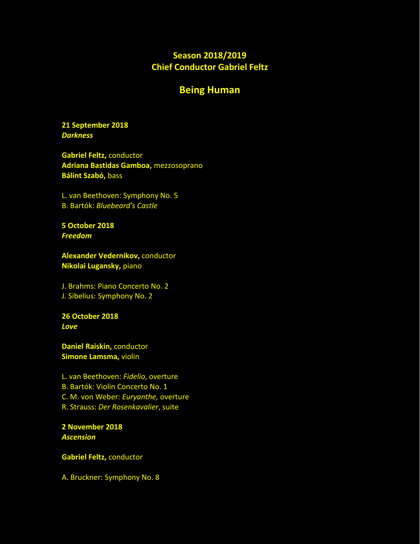# **Season 2018/2019 Chief Conductor Gabriel Feltz**

## **Being Human**

### **21 September 2018** *Darkness*

**Gabriel Feltz,** conductor **Adriana Bastidas Gamboa,** mezzosoprano **Bálint Szabó,** bass

L. van Beethoven: Symphony No. 5 B. Bartók: *Bluebeard's Castle*

**5 October 2018** *Freedom*

**Alexander Vedernikov,** conductor **Nikolai Lugansky,** piano

Ј. Brahms: Piano Concerto No. 2 Ј. Sibelius: Symphony No. 2

**26 October 2018** *Love*

**Daniel Raiskin,** conductor **Simone Lamsma,** violin

L. van Beethoven: *Fidelio*, overture B. Bartók: Violin Concerto No. 1 C. М. von Weber: *Euryanthe,* overture R. Strauss: *Der Rosenkavalier*, suite

**2 November 2018** *Ascension*

**Gabriel Feltz,** conductor

А. Bruckner: Symphony No. 8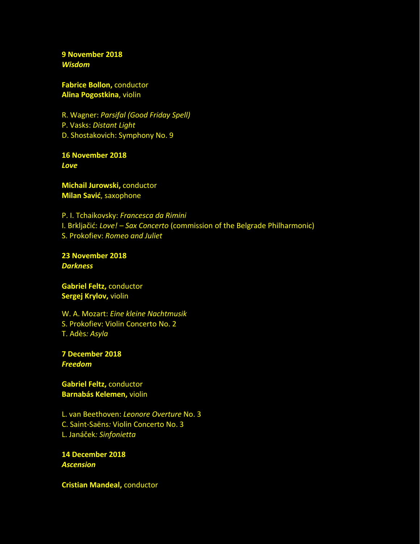**9 November 2018** *Wisdom*

**Fabrice Bollon,** conductor **Alina Pogostkina**, violin

R. Wagner: *Parsifal (Good Friday Spell)*  P. Vasks: *Distant Light* D. Shostakovich: Symphony No. 9

**16 November 2018** *Love*

**Michail Jurowski,** conductor **Milan Savić**, saxophone

P. I. Tchaikovsky: *Francesca da Rimini* I. Brkljačić: *Love! – Sax Concerto* (commission of the Belgrade Philharmonic) S. Prokofiev: *Romeo and Juliet* 

**23 November 2018** *Darkness*

**Gabriel Feltz,** conductor **Sergej Krylov,** violin

W. A. Mozart: *Eine kleine Nachtmusik* S. Prokofiev: Violin Concerto No. 2 T. Adès*: Asyla*

**7 December 2018** *Freedom*

**Gabriel Feltz,** conductor **Barnabás Kelemen,** violin

L. van Beethoven: *Leonore Overture* No. 3 C. Saint*-*Saëns*:* Violin Concerto No. 3 L. Janáček*: Sinfonietta*

**14 December 2018** *Ascension*

**Cristian Mandeal,** conductor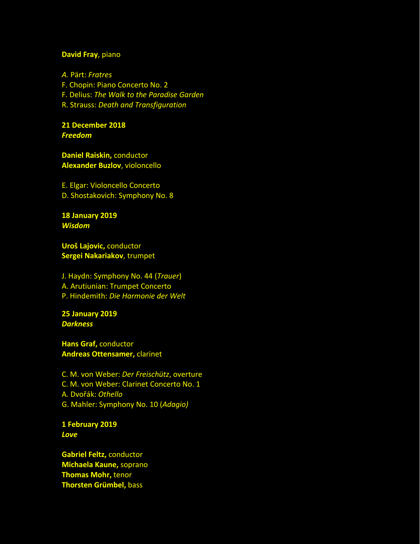## **David Fray**, piano

*A.* Pärt: *Fratres* F. Chopin: Piano Concerto No. 2 F. Delius: *The Walk to the Paradise Garden* R. Strauss: *Death and Transfiguration*

**21 December 2018** *Freedom*

**Daniel Raiskin,** conductor **Alexander Buzlov**, violoncello

Е. Elgar: Violoncello Concerto D. Shostakovich: Symphony No. 8

**18 January 2019** *Wisdom*

**Uroš Lajovic,** conductor **Sergei Nakariakov**, trumpet

Ј. Haydn: Symphony No. 44 (*Trauer*) А. Arutiunian: Trumpet Concerto P. Hindemith: *Die Harmonie der Welt*

**25 January 2019** *Darkness*

**Hans Graf,** conductor **Andreas Ottensamer,** clarinet

C. М. von Weber: *Der Freischütz*, overture C. М. von Weber: Clarinet Concerto No. 1 А. Dvořák: *Othello* G. Mahler: Symphony No. 10 (*Adagio)*

**1 February 2019** *Love*

**Gabriel Feltz,** conductor **Michaela Kaune,** soprano **Thomas Mohr,** tenor **Thorsten Grümbel,** bass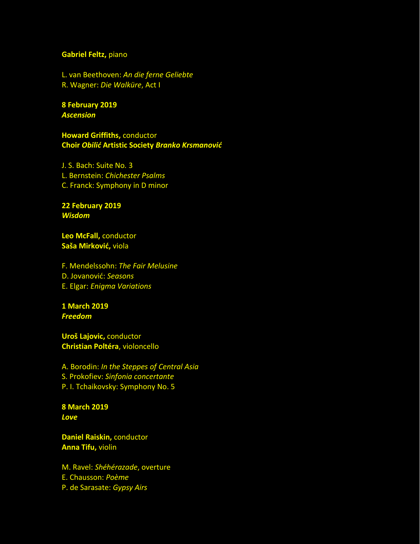#### **Gabriel Feltz,** piano

L. van Beethoven: *An die ferne Geliebte* R. Wagner: *Die Walküre*, Act I

**8 February 2019** *Ascension*

**Howard Griffiths,** conductor **Choir** *Obilić* **Artistic Society** *Branko Krsmanović*

J. S. Bach: Suite No*.* 3 L. Bernstein: *Chichester Psalms* C. Franck: Symphony in D minor

**22 February 2019** *Wisdom*

**Leo McFall,** conductor **Saša Mirković,** viola

F. Mendelssohn: *The Fair Melusine* D. Jovanović: *Seasons* E. Elgar: *Enigma Variations*

**1 March 2019** *Freedom*

**Uroš Lajovic,** conductor **Christian Poltéra**, violoncello

А. Borodin: *In the Steppes of Central Asia* S. Prokofiev: *Sinfonia concertante* P. I. Tchaikovsky: Symphony No. 5

**8 March 2019** *Love*

**Daniel Raiskin,** conductor **Anna Tifu,** violin

M. Ravel: *Shéhérazade*, overture Е. Chausson: *Poème* P. de Sarasate: *Gypsy Airs*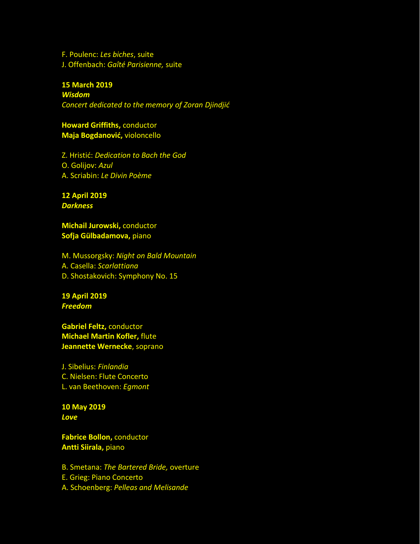F. Poulenc: *Les biches*, suite J. Offenbach: *Gaîté Parisienne,* suite

#### **15 March 2019**

*Wisdom Concert dedicated to the memory of Zoran Djindjić*

**Howard Griffiths,** conductor **Maja Bogdanović,** violoncello

Z. Hristić: *Dedication to Bach the God*  О. Golijov: *Azul* А. Scriabin: *Le Divin Poème*

**12 April 2019** *Darkness*

**Michail Jurowski,** conductor **Sofja Gülbadamova,** piano

M. Mussorgsky: *Night on Bald Mountain* А. Casella: *Scarlattiana* D. Shostakovich: Symphony No. 15

**19 April 2019** *Freedom*

**Gabriel Feltz,** conductor **Michael Martin Kofler,** flute **Jeannette Wernecke**, soprano

Ј. Sibelius: *Finlandia* C. Nielsen: Flute Concerto L. van Beethoven: *Egmont*

**10 May 2019** *Love*

**Fabrice Bollon,** conductor **Antti Siirala,** piano

B. Smetana: *The Bartered Bride,* overture Е. Grieg: Piano Concerto А. Schoenberg: *Pelleas and Melisande*